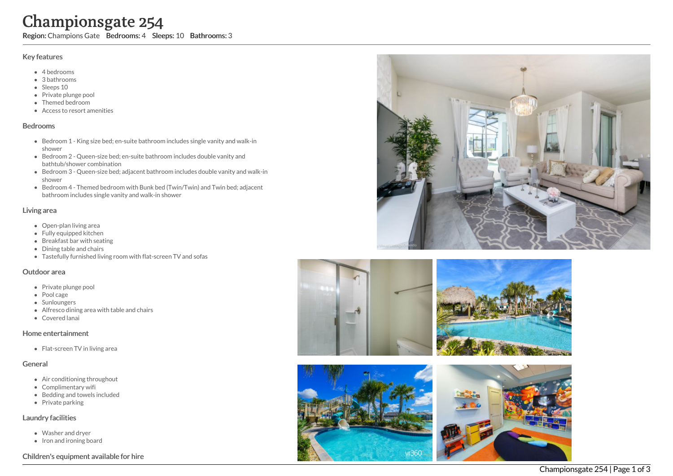# Championsgate 254

Region: Champions Gate Bedrooms: 4 Sleeps: 10 Bathrooms: 3

#### Key features

- 4 b e d r o o m s
- 3 b a t h r o o m s
- Sleeps 10
- Private plunge pool
- Themed bedroom
- Access to resort amenities

#### **Bedrooms**

- Bedroom 1 King size bed; en-suite bathroom includes single vanity and walk-in s h o w e r
- Bedroom 2 Queen-size bed; en-suite bathroom includes double vanity and bathtub/shower combination
- Bedroom 3 Queen-size bed; adjacent bathroom includes double vanity and walk-in s h o w e r
- Bedroom 4 Themed bedroom with Bunk bed (Twin/Twin) and Twin bed; adjacent bathroom includes single vanity and walk-in shower

#### Living area

- Open-plan living area
- Fully equipped kitchen
- Breakfast bar with seating
- Dining table and chairs
- Tastefully furnished living room with flat-screen TV and sofas

#### Outdoor area

- Private plunge pool
- Pool cage
- Sunloungers
- Alfresco dining area with table and chairs
- Covered lanai

#### Home entertainme n t

Flat-screen TV in living area

#### General

- Air conditioning throughout
- Complimentary wifi
- Bedding and towels in clu d e d
- Private parking

#### Laundry facilities

- Washer and dryer
- Iron and ironing board

### Children's equipment available for hire







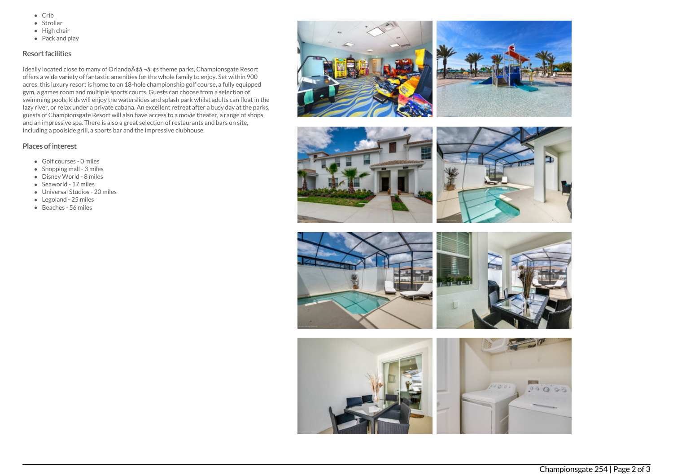- $\bullet$  Crib
- Stroller
- $\bullet$  High chair
- Pack and play

## Resort facilities

Ideally located close to many of Orlando A¢â,¬â, ¢s theme parks, Championsgate Resort offers a wide variety of fantastic amenities for the whole family to enjoy. Set within 900 acres, this luxury resort is home to an 18-hole championship golf course, a fully equipped gym, a games room and multiple sports courts. Guests can choose from a selection of swimming pools; kids will enjoy the waterslides and splash park whilst adults can float in the lazy river, or relax under a private cabana. An excellent retreat after a busy day at the parks, guests of Championsgate Resort will also have access to a movie theater, a range of shops and an impressive spa. There is also a great selection of restaurants and bars on site, including a poolside grill, a sports bar and the impressive clubhouse.

## Places of interest

- Golf courses 0 miles
- Shopping mall 3 miles
- Disney World 8 miles
- Seaworld 17 miles
- Universal Studios 20 miles
- Legoland 25 miles
- Beaches 56 miles